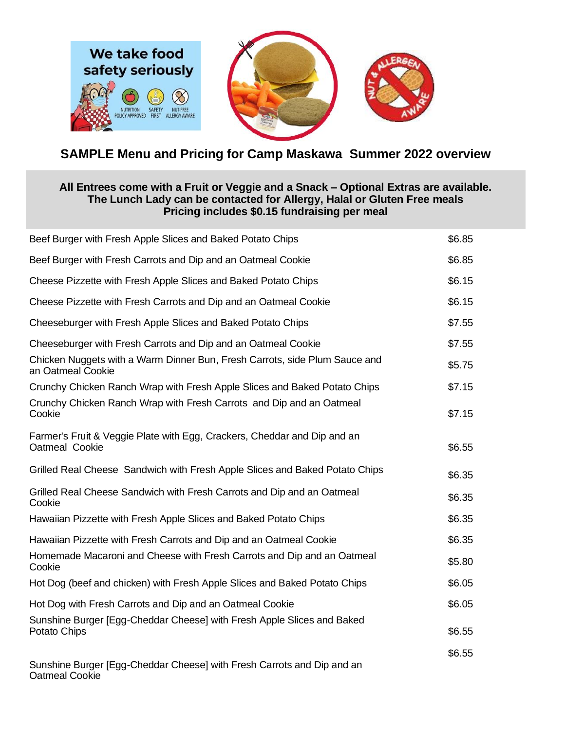

## **SAMPLE Menu and Pricing for Camp Maskawa Summer 2022 overview**

## **All Entrees come with a Fruit or Veggie and a Snack – Optional Extras are available. The Lunch Lady can be contacted for Allergy, Halal or Gluten Free meals Pricing includes \$0.15 fundraising per meal**

| Beef Burger with Fresh Apple Slices and Baked Potato Chips                                      | \$6.85 |
|-------------------------------------------------------------------------------------------------|--------|
| Beef Burger with Fresh Carrots and Dip and an Oatmeal Cookie                                    | \$6.85 |
| Cheese Pizzette with Fresh Apple Slices and Baked Potato Chips                                  | \$6.15 |
| Cheese Pizzette with Fresh Carrots and Dip and an Oatmeal Cookie                                | \$6.15 |
| Cheeseburger with Fresh Apple Slices and Baked Potato Chips                                     | \$7.55 |
| Cheeseburger with Fresh Carrots and Dip and an Oatmeal Cookie                                   | \$7.55 |
| Chicken Nuggets with a Warm Dinner Bun, Fresh Carrots, side Plum Sauce and<br>an Oatmeal Cookie | \$5.75 |
| Crunchy Chicken Ranch Wrap with Fresh Apple Slices and Baked Potato Chips                       | \$7.15 |
| Crunchy Chicken Ranch Wrap with Fresh Carrots and Dip and an Oatmeal<br>Cookie                  | \$7.15 |
| Farmer's Fruit & Veggie Plate with Egg, Crackers, Cheddar and Dip and an<br>Oatmeal Cookie      | \$6.55 |
| Grilled Real Cheese Sandwich with Fresh Apple Slices and Baked Potato Chips                     | \$6.35 |
| Grilled Real Cheese Sandwich with Fresh Carrots and Dip and an Oatmeal<br>Cookie                | \$6.35 |
| Hawaiian Pizzette with Fresh Apple Slices and Baked Potato Chips                                | \$6.35 |
| Hawaiian Pizzette with Fresh Carrots and Dip and an Oatmeal Cookie                              | \$6.35 |
| Homemade Macaroni and Cheese with Fresh Carrots and Dip and an Oatmeal<br>Cookie                | \$5.80 |
| Hot Dog (beef and chicken) with Fresh Apple Slices and Baked Potato Chips                       | \$6.05 |
| Hot Dog with Fresh Carrots and Dip and an Oatmeal Cookie                                        | \$6.05 |
| Sunshine Burger [Egg-Cheddar Cheese] with Fresh Apple Slices and Baked<br>Potato Chips          | \$6.55 |
| Sunshine Burger [Egg-Cheddar Cheese] with Fresh Carrots and Dip and an<br><b>Oatmeal Cookie</b> | \$6.55 |